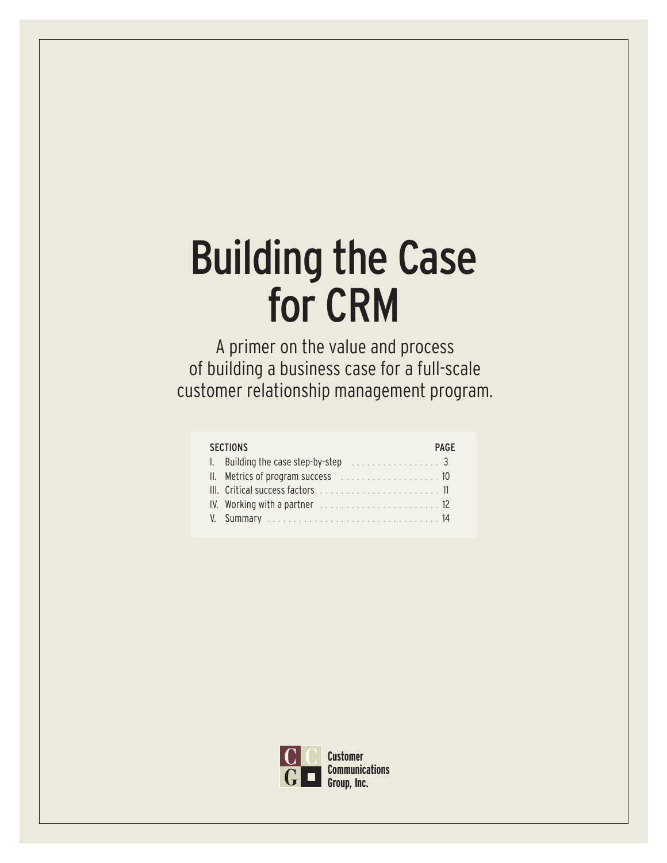A primer on the value and process of building a business case for a full-scale customer relationship management program.

| <b>SECTIONS</b>                                                 | PAGF |
|-----------------------------------------------------------------|------|
| 1. Building the case step-by-step $\ldots \ldots \ldots \ldots$ |      |
|                                                                 |      |
|                                                                 |      |
|                                                                 |      |
|                                                                 |      |
|                                                                 |      |

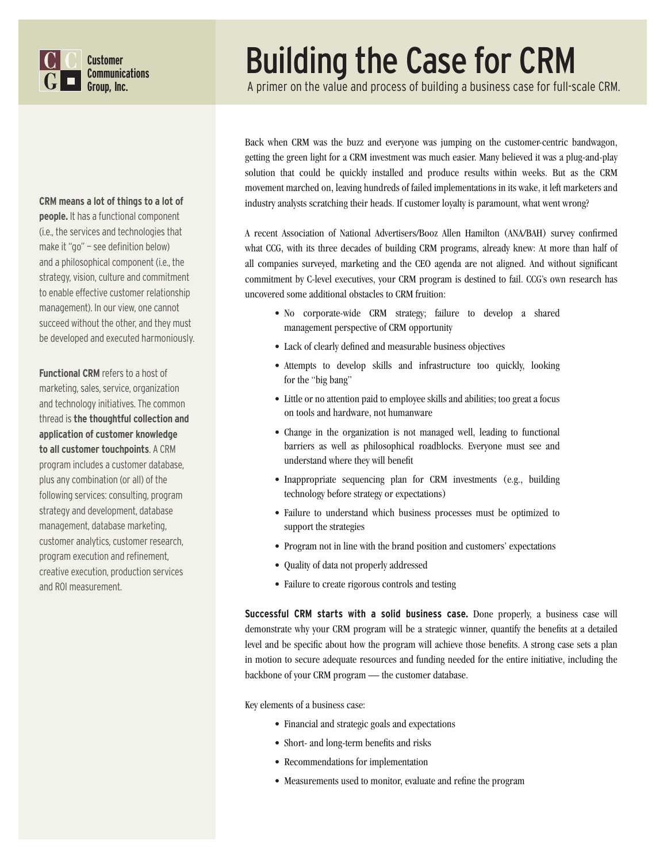

#### **CRM means a lot of things to a lot of**

**people.** It has a functional component (i.e., the services and technologies that make it "go" — see definition below) and a philosophical component (i.e., the strategy, vision, culture and commitment to enable effective customer relationship management). In our view, one cannot succeed without the other, and they must be developed and executed harmoniously.

**Functional CRM** refers to a host of marketing, sales, service, organization and technology initiatives. The common thread is **the thoughtful collection and application of customer knowledge to all customer touchpoints**. A CRM program includes a customer database, plus any combination (or all) of the following services: consulting, program strategy and development, database management, database marketing, customer analytics, customer research, program execution and refinement, creative execution, production services and ROI measurement.

## Building the Case for CRM

A primer on the value and process of building a business case for full-scale CRM.

Back when CRM was the buzz and everyone was jumping on the customer-centric bandwagon, getting the green light for a CRM investment was much easier. Many believed it was a plug-and-play solution that could be quickly installed and produce results within weeks. But as the CRM movement marched on, leaving hundreds of failed implementations in its wake, it left marketers and industry analysts scratching their heads. If customer loyalty is paramount, what went wrong?

A recent Association of National Advertisers/Booz Allen Hamilton (ANA/BAH) survey confirmed what CCG, with its three decades of building CRM programs, already knew: At more than half of all companies surveyed, marketing and the CEO agenda are not aligned. And without significant commitment by C-level executives, your CRM program is destined to fail. CCG's own research has uncovered some additional obstacles to CRM fruition:

- No corporate-wide CRM strategy; failure to develop a shared management perspective of CRM opportunity
- Lack of clearly defined and measurable business objectives
- Attempts to develop skills and infrastructure too quickly, looking for the "big bang"
- Little or no attention paid to employee skills and abilities; too great a focus on tools and hardware, not humanware
- Change in the organization is not managed well, leading to functional barriers as well as philosophical roadblocks. Everyone must see and understand where they will benefit
- Inappropriate sequencing plan for CRM investments (e.g., building technology before strategy or expectations)
- Failure to understand which business processes must be optimized to support the strategies
- Program not in line with the brand position and customers' expectations
- Quality of data not properly addressed
- Failure to create rigorous controls and testing

**Successful CRM starts with a solid business case.** Done properly, a business case will demonstrate why your CRM program will be a strategic winner, quantify the benefits at a detailed level and be specific about how the program will achieve those benefits. A strong case sets a plan in motion to secure adequate resources and funding needed for the entire initiative, including the backbone of your CRM program — the customer database.

Key elements of a business case:

- Financial and strategic goals and expectations
- Short- and long-term benefits and risks
- Recommendations for implementation
- Measurements used to monitor, evaluate and refine the program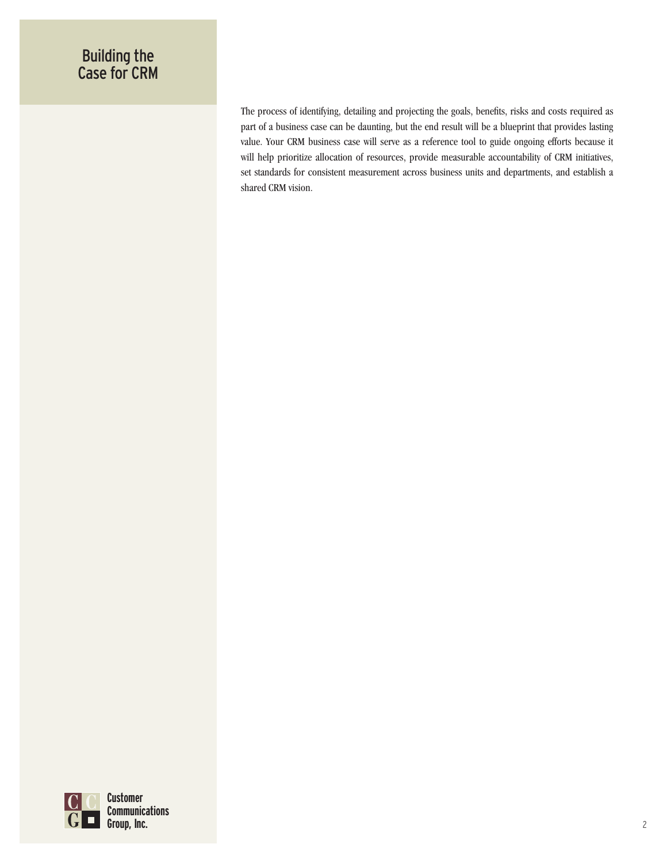The process of identifying, detailing and projecting the goals, benefits, risks and costs required as part of a business case can be daunting, but the end result will be a blueprint that provides lasting value. Your CRM business case will serve as a reference tool to guide ongoing efforts because it will help prioritize allocation of resources, provide measurable accountability of CRM initiatives, set standards for consistent measurement across business units and departments, and establish a shared CRM vision.

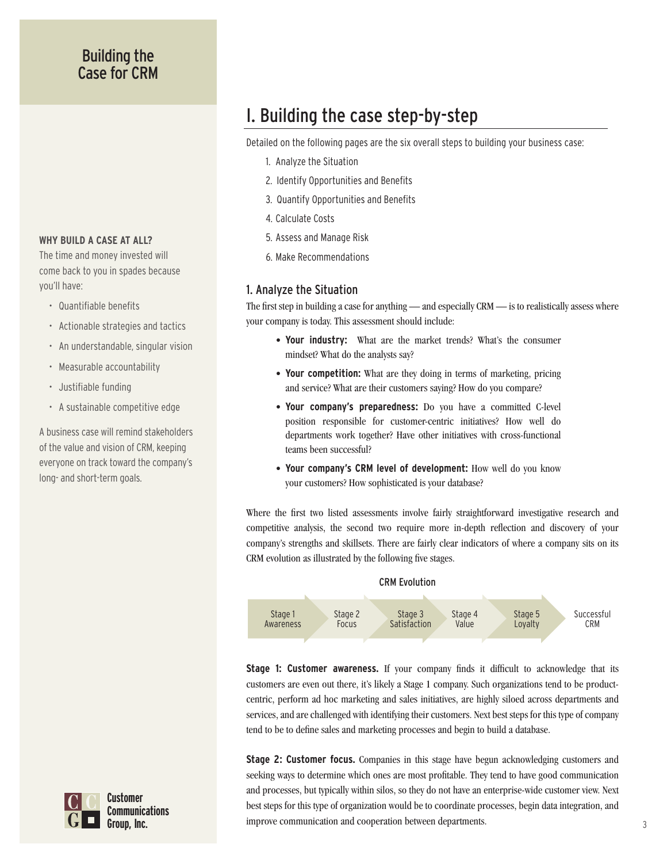#### **WHY BUILD A CASE AT ALL?**

The time and money invested will come back to you in spades because you'll have:

- Quantifiable benefits
- Actionable strategies and tactics
- An understandable, singular vision
- Measurable accountability
- Justifiable funding
- A sustainable competitive edge

A business case will remind stakeholders of the value and vision of CRM, keeping everyone on track toward the company's long- and short-term goals.

## I. Building the case step-by-step

Detailed on the following pages are the six overall steps to building your business case:

- 1. Analyze the Situation
- 2. Identify Opportunities and Benefits
- 3. Quantify Opportunities and Benefits
- 4. Calculate Costs
- 5. Assess and Manage Risk
- 6. Make Recommendations

#### 1. Analyze the Situation

The first step in building a case for anything — and especially CRM — is to realistically assess where your company is today. This assessment should include:

- **Your industry:** What are the market trends? What's the consumer mindset? What do the analysts say?
- **Your competition:** What are they doing in terms of marketing, pricing and service? What are their customers saying? How do you compare?
- **Your company's preparedness:** Do you have a committed C-level position responsible for customer-centric initiatives? How well do departments work together? Have other initiatives with cross-functional teams been successful?
- **Your company's CRM level of development:** How well do you know your customers? How sophisticated is your database?

Where the first two listed assessments involve fairly straightforward investigative research and competitive analysis, the second two require more in-depth reflection and discovery of your company's strengths and skillsets. There are fairly clear indicators of where a company sits on its CRM evolution as illustrated by the following five stages.



**Stage 1: Customer awareness.** If your company finds it difficult to acknowledge that its customers are even out there, it's likely a Stage 1 company. Such organizations tend to be productcentric, perform ad hoc marketing and sales initiatives, are highly siloed across departments and services, and are challenged with identifying their customers. Next best steps for this type of company tend to be to define sales and marketing processes and begin to build a database.

**Stage 2: Customer focus.** Companies in this stage have begun acknowledging customers and seeking ways to determine which ones are most profitable. They tend to have good communication and processes, but typically within silos, so they do not have an enterprise-wide customer view. Next best steps for this type of organization would be to coordinate processes, begin data integration, and improve communication and cooperation between departments.

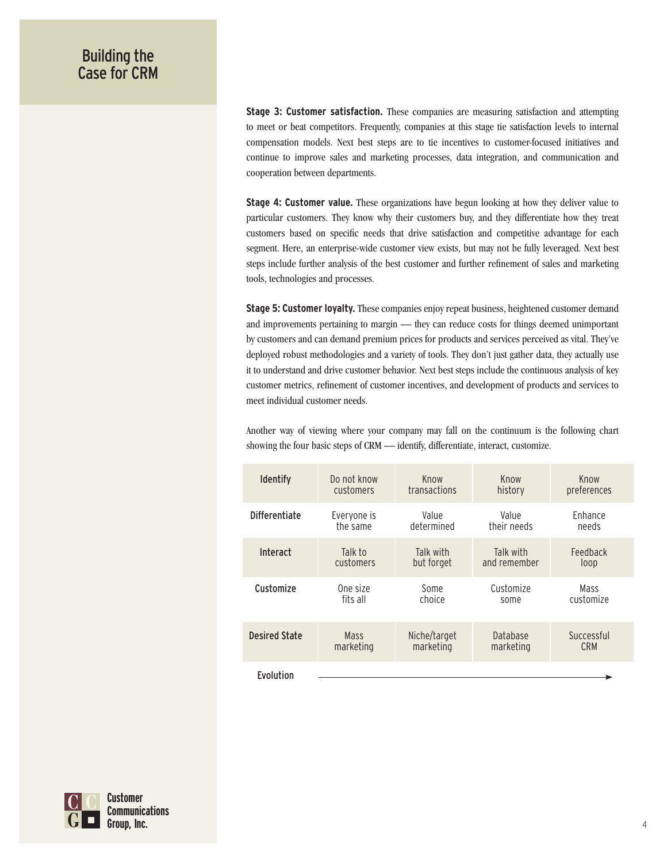**Stage 3: Customer satisfaction.** These companies are measuring satisfaction and attempting to meet or beat competitors. Frequently, companies at this stage tie satisfaction levels to internal compensation models. Next best steps are to tie incentives to customer-focused initiatives and continue to improve sales and marketing processes, data integration, and communication and cooperation between departments.

**Stage 4: Customer value.** These organizations have begun looking at how they deliver value to particular customers. They know why their customers buy, and they differentiate how they treat customers based on specific needs that drive satisfaction and competitive advantage for each segment. Here, an enterprise-wide customer view exists, but may not be fully leveraged. Next best steps include further analysis of the best customer and further refinement of sales and marketing tools, technologies and processes.

**Stage 5: Customer loyalty.** These companies enjoy repeat business, heightened customer demand and improvements pertaining to margin — they can reduce costs for things deemed unimportant by customers and can demand premium prices for products and services perceived as vital. They've deployed robust methodologies and a variety of tools. They don't just gather data, they actually use it to understand and drive customer behavior. Next best steps include the continuous analysis of key customer metrics, refinement of customer incentives, and development of products and services to meet individual customer needs.

Another way of viewing where your company may fall on the continuum is the following chart showing the four basic steps of CRM — identify, differentiate, interact, customize.

| <b>Identify</b>      | Do not know | Know         | Know         | Know        |
|----------------------|-------------|--------------|--------------|-------------|
|                      | customers   | transactions | history      | preferences |
| <b>Differentiate</b> | Everyone is | Value        | Value        | Enhance     |
|                      | the same    | determined   | their needs  | needs       |
| Interact             | Talk to     | Talk with    | Talk with    | Feedback    |
|                      | customers   | but forget   | and remember | loop        |
| Customize            | One size    | Some         | Customize    | Mass        |
|                      | fits all    | choice       | some         | customize   |
| <b>Desired State</b> | <b>Mass</b> | Niche/target | Database     | Successful  |
|                      | marketing   | marketing    | marketing    | <b>CRM</b>  |
| Evolution            |             |              |              |             |

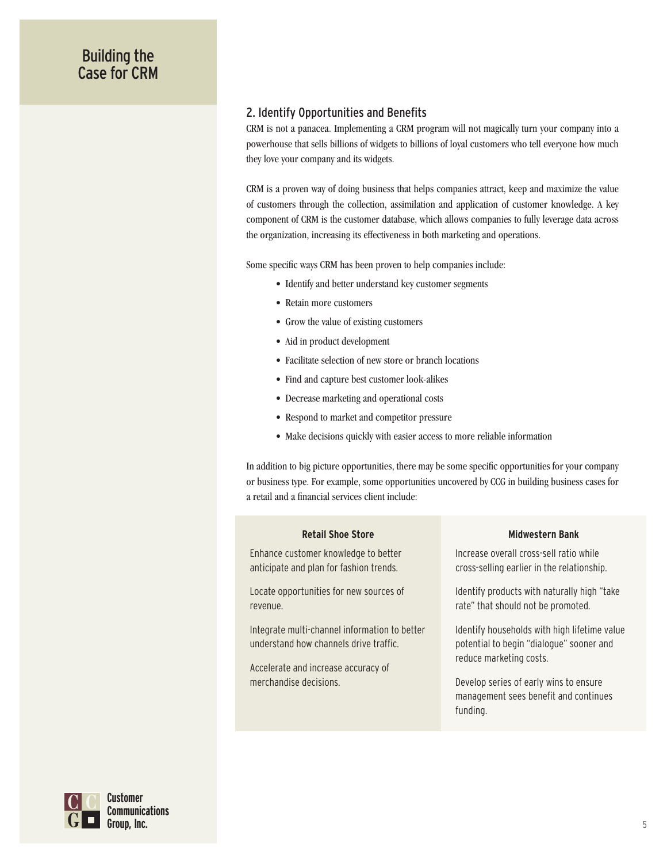#### 2. Identify Opportunities and Benefits

CRM is not a panacea. Implementing a CRM program will not magically turn your company into a powerhouse that sells billions of widgets to billions of loyal customers who tell everyone how much they love your company and its widgets.

CRM is a proven way of doing business that helps companies attract, keep and maximize the value of customers through the collection, assimilation and application of customer knowledge. A key component of CRM is the customer database, which allows companies to fully leverage data across the organization, increasing its effectiveness in both marketing and operations.

Some specific ways CRM has been proven to help companies include:

- Identify and better understand key customer segments
- Retain more customers
- Grow the value of existing customers
- Aid in product development
- Facilitate selection of new store or branch locations
- Find and capture best customer look-alikes
- Decrease marketing and operational costs
- Respond to market and competitor pressure
- Make decisions quickly with easier access to more reliable information

In addition to big picture opportunities, there may be some specific opportunities for your company or business type. For example, some opportunities uncovered by CCG in building business cases for a retail and a financial services client include:

#### **Retail Shoe Store**

Enhance customer knowledge to better anticipate and plan for fashion trends.

Locate opportunities for new sources of revenue.

Integrate multi-channel information to better understand how channels drive traffic.

Accelerate and increase accuracy of merchandise decisions.

#### **Midwestern Bank**

Increase overall cross-sell ratio while cross-selling earlier in the relationship.

Identify products with naturally high "take rate" that should not be promoted.

Identify households with high lifetime value potential to begin "dialogue" sooner and reduce marketing costs.

Develop series of early wins to ensure management sees benefit and continues funding.

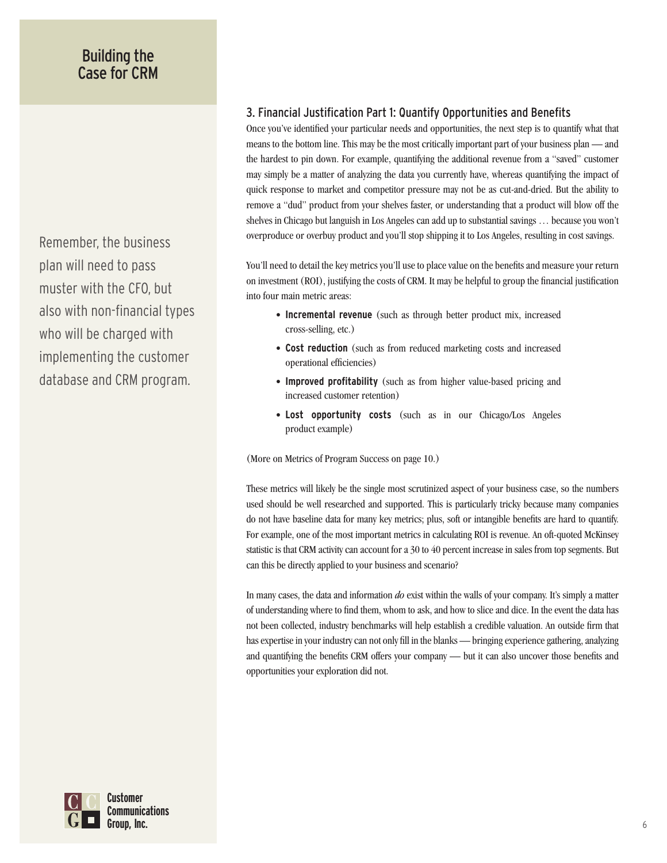Remember, the business plan will need to pass muster with the CFO, but also with non-financial types who will be charged with implementing the customer database and CRM program.

#### 3. Financial Justification Part 1: Quantify Opportunities and Benefits

Once you've identified your particular needs and opportunities, the next step is to quantify what that means to the bottom line. This may be the most critically important part of your business plan — and the hardest to pin down. For example, quantifying the additional revenue from a "saved" customer may simply be a matter of analyzing the data you currently have, whereas quantifying the impact of quick response to market and competitor pressure may not be as cut-and-dried. But the ability to remove a "dud" product from your shelves faster, or understanding that a product will blow off the shelves in Chicago but languish in Los Angeles can add up to substantial savings … because you won't overproduce or overbuy product and you'll stop shipping it to Los Angeles, resulting in cost savings.

You'll need to detail the key metrics you'll use to place value on the benefits and measure your return on investment (ROI), justifying the costs of CRM. It may be helpful to group the financial justification into four main metric areas:

- **Incremental revenue** (such as through better product mix, increased cross-selling, etc.)
- **Cost reduction** (such as from reduced marketing costs and increased operational efficiencies)
- **Improved profitability** (such as from higher value-based pricing and increased customer retention)
- **Lost opportunity costs** (such as in our Chicago/Los Angeles product example)

(More on Metrics of Program Success on page 10.)

These metrics will likely be the single most scrutinized aspect of your business case, so the numbers used should be well researched and supported. This is particularly tricky because many companies do not have baseline data for many key metrics; plus, soft or intangible benefits are hard to quantify. For example, one of the most important metrics in calculating ROI is revenue. An oft-quoted McKinsey statistic is that CRM activity can account for a 30 to 40 percent increase in sales from top segments. But can this be directly applied to your business and scenario?

In many cases, the data and information *do* exist within the walls of your company. It's simply a matter of understanding where to find them, whom to ask, and how to slice and dice. In the event the data has not been collected, industry benchmarks will help establish a credible valuation. An outside firm that has expertise in your industry can not only fill in the blanks — bringing experience gathering, analyzing and quantifying the benefits CRM offers your company — but it can also uncover those benefits and opportunities your exploration did not.

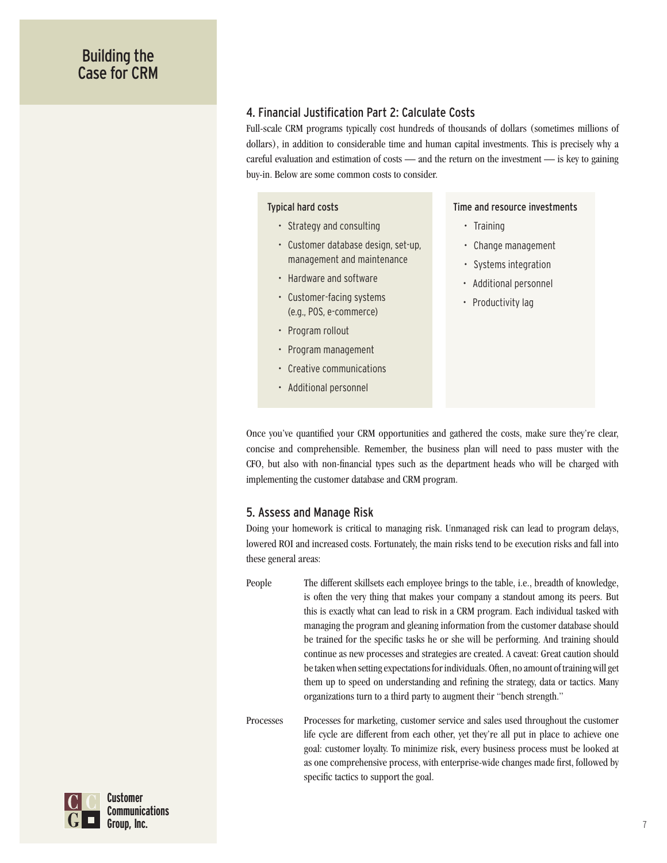#### 4. Financial Justification Part 2: Calculate Costs

Full-scale CRM programs typically cost hundreds of thousands of dollars (sometimes millions of dollars), in addition to considerable time and human capital investments. This is precisely why a careful evaluation and estimation of costs — and the return on the investment — is key to gaining buy-in. Below are some common costs to consider.

#### Typical hard costs

- Strategy and consulting
- Customer database design, set-up, management and maintenance
- Hardware and software
- Customer-facing systems (e.g., POS, e-commerce)
- Program rollout
- Program management
- Creative communications
- Additional personnel

#### Time and resource investments

- Training
- Change management
- Systems integration
- Additional personnel
- Productivity lag

Once you've quantified your CRM opportunities and gathered the costs, make sure they're clear, concise and comprehensible. Remember, the business plan will need to pass muster with the CFO, but also with non-financial types such as the department heads who will be charged with implementing the customer database and CRM program.

#### 5. Assess and Manage Risk

Doing your homework is critical to managing risk. Unmanaged risk can lead to program delays, lowered ROI and increased costs. Fortunately, the main risks tend to be execution risks and fall into these general areas:

People The different skillsets each employee brings to the table, i.e., breadth of knowledge, is often the very thing that makes your company a standout among its peers. But this is exactly what can lead to risk in a CRM program. Each individual tasked with managing the program and gleaning information from the customer database should be trained for the specific tasks he or she will be performing. And training should continue as new processes and strategies are created. A caveat: Great caution should be taken when setting expectations for individuals. Often, no amount of training will get them up to speed on understanding and refining the strategy, data or tactics. Many organizations turn to a third party to augment their "bench strength."

Processes Processes for marketing, customer service and sales used throughout the customer life cycle are different from each other, yet they're all put in place to achieve one goal: customer loyalty. To minimize risk, every business process must be looked at as one comprehensive process, with enterprise-wide changes made first, followed by specific tactics to support the goal.

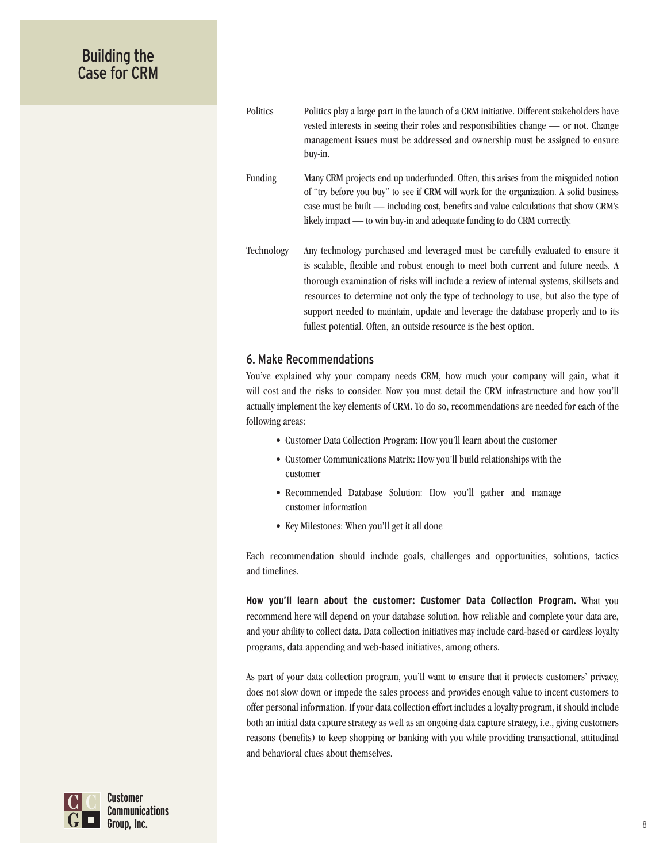Politics Politics play a large part in the launch of a CRM initiative. Different stakeholders have vested interests in seeing their roles and responsibilities change — or not. Change management issues must be addressed and ownership must be assigned to ensure buy-in.

Funding Many CRM projects end up underfunded. Often, this arises from the misguided notion of "try before you buy" to see if CRM will work for the organization. A solid business case must be built — including cost, benefits and value calculations that show CRM's likely impact — to win buy-in and adequate funding to do CRM correctly.

Technology Any technology purchased and leveraged must be carefully evaluated to ensure it is scalable, flexible and robust enough to meet both current and future needs. A thorough examination of risks will include a review of internal systems, skillsets and resources to determine not only the type of technology to use, but also the type of support needed to maintain, update and leverage the database properly and to its fullest potential. Often, an outside resource is the best option.

#### 6. Make Recommendations

You've explained why your company needs CRM, how much your company will gain, what it will cost and the risks to consider. Now you must detail the CRM infrastructure and how you'll actually implement the key elements of CRM. To do so, recommendations are needed for each of the following areas:

- Customer Data Collection Program: How you'll learn about the customer
- Customer Communications Matrix: How you'll build relationships with the customer
- Recommended Database Solution: How you'll gather and manage customer information
- Key Milestones: When you'll get it all done

Each recommendation should include goals, challenges and opportunities, solutions, tactics and timelines.

**How you'll learn about the customer: Customer Data Collection Program.** What you recommend here will depend on your database solution, how reliable and complete your data are, and your ability to collect data. Data collection initiatives may include card-based or cardless loyalty programs, data appending and web-based initiatives, among others.

As part of your data collection program, you'll want to ensure that it protects customers' privacy, does not slow down or impede the sales process and provides enough value to incent customers to offer personal information. If your data collection effort includes a loyalty program, it should include both an initial data capture strategy as well as an ongoing data capture strategy, i.e., giving customers reasons (benefits) to keep shopping or banking with you while providing transactional, attitudinal and behavioral clues about themselves.

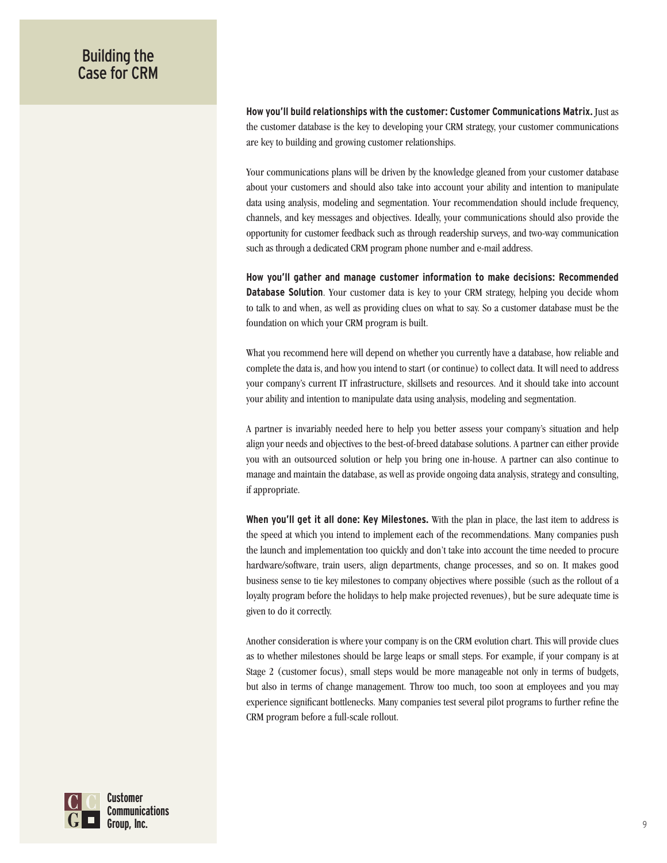**How you'll build relationships with the customer: Customer Communications Matrix.** Just as the customer database is the key to developing your CRM strategy, your customer communications are key to building and growing customer relationships.

Your communications plans will be driven by the knowledge gleaned from your customer database about your customers and should also take into account your ability and intention to manipulate data using analysis, modeling and segmentation. Your recommendation should include frequency, channels, and key messages and objectives. Ideally, your communications should also provide the opportunity for customer feedback such as through readership surveys, and two-way communication such as through a dedicated CRM program phone number and e-mail address.

**How you'll gather and manage customer information to make decisions: Recommended Database Solution**. Your customer data is key to your CRM strategy, helping you decide whom to talk to and when, as well as providing clues on what to say. So a customer database must be the foundation on which your CRM program is built.

What you recommend here will depend on whether you currently have a database, how reliable and complete the data is, and how you intend to start (or continue) to collect data. It will need to address your company's current IT infrastructure, skillsets and resources. And it should take into account your ability and intention to manipulate data using analysis, modeling and segmentation.

A partner is invariably needed here to help you better assess your company's situation and help align your needs and objectives to the best-of-breed database solutions. A partner can either provide you with an outsourced solution or help you bring one in-house. A partner can also continue to manage and maintain the database, as well as provide ongoing data analysis, strategy and consulting, if appropriate.

**When you'll get it all done: Key Milestones.** With the plan in place, the last item to address is the speed at which you intend to implement each of the recommendations. Many companies push the launch and implementation too quickly and don't take into account the time needed to procure hardware/software, train users, align departments, change processes, and so on. It makes good business sense to tie key milestones to company objectives where possible (such as the rollout of a loyalty program before the holidays to help make projected revenues), but be sure adequate time is given to do it correctly.

Another consideration is where your company is on the CRM evolution chart. This will provide clues as to whether milestones should be large leaps or small steps. For example, if your company is at Stage 2 (customer focus), small steps would be more manageable not only in terms of budgets, but also in terms of change management. Throw too much, too soon at employees and you may experience significant bottlenecks. Many companies test several pilot programs to further refine the CRM program before a full-scale rollout.

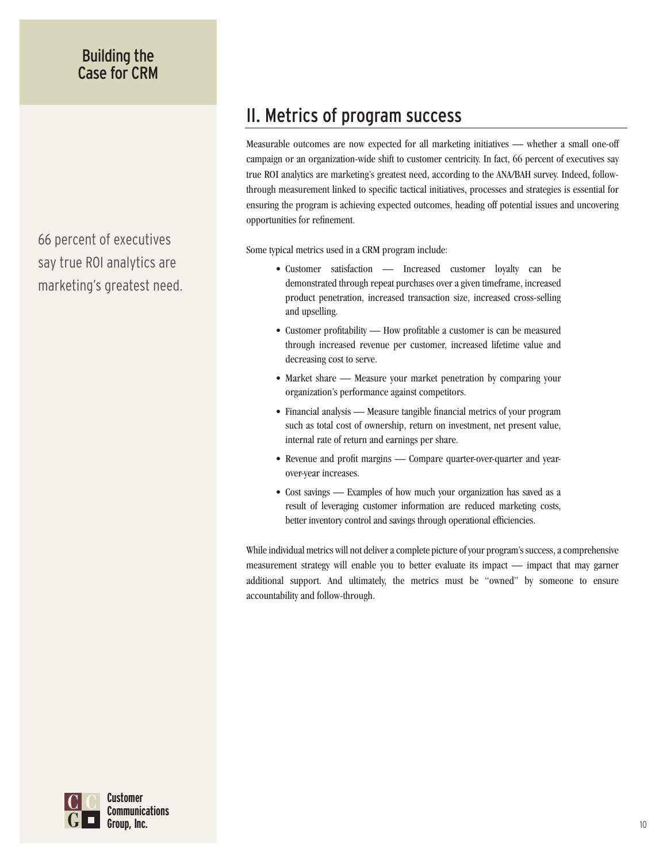66 percent of executives say true ROI analytics are marketing's greatest need.

## II. Metrics of program success

Measurable outcomes are now expected for all marketing initiatives — whether a small one-off campaign or an organization-wide shift to customer centricity. In fact, 66 percent of executives say true ROI analytics are marketing's greatest need, according to the ANA/BAH survey. Indeed, followthrough measurement linked to specific tactical initiatives, processes and strategies is essential for ensuring the program is achieving expected outcomes, heading off potential issues and uncovering opportunities for refinement.

Some typical metrics used in a CRM program include:

- Customer satisfaction Increased customer loyalty can be demonstrated through repeat purchases over a given timeframe, increased product penetration, increased transaction size, increased cross-selling and upselling.
- Customer profitability How profitable a customer is can be measured through increased revenue per customer, increased lifetime value and decreasing cost to serve.
- Market share Measure your market penetration by comparing your organization's performance against competitors.
- Financial analysis Measure tangible financial metrics of your program such as total cost of ownership, return on investment, net present value, internal rate of return and earnings per share.
- Revenue and profit margins Compare quarter-over-quarter and yearover-year increases.
- Cost savings Examples of how much your organization has saved as a result of leveraging customer information are reduced marketing costs, better inventory control and savings through operational efficiencies.

While individual metrics will not deliver a complete picture of your program's success, a comprehensive measurement strategy will enable you to better evaluate its impact — impact that may garner additional support. And ultimately, the metrics must be "owned" by someone to ensure accountability and follow-through.

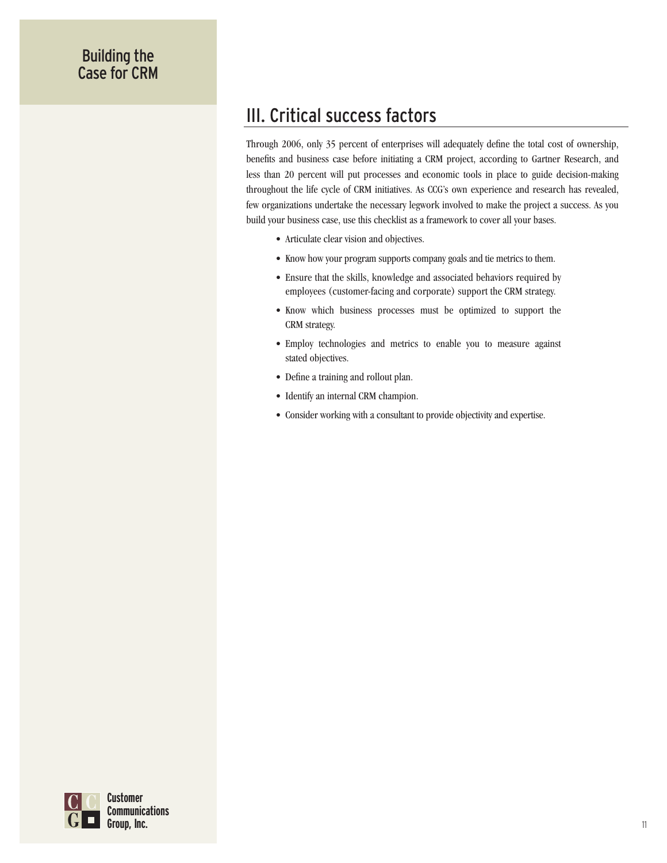## III. Critical success factors

Through 2006, only 35 percent of enterprises will adequately define the total cost of ownership, benefits and business case before initiating a CRM project, according to Gartner Research, and less than 20 percent will put processes and economic tools in place to guide decision-making throughout the life cycle of CRM initiatives. As CCG's own experience and research has revealed, few organizations undertake the necessary legwork involved to make the project a success. As you build your business case, use this checklist as a framework to cover all your bases.

- Articulate clear vision and objectives.
- Know how your program supports company goals and tie metrics to them.
- Ensure that the skills, knowledge and associated behaviors required by employees (customer-facing and corporate) support the CRM strategy.
- Know which business processes must be optimized to support the CRM strategy.
- Employ technologies and metrics to enable you to measure against stated objectives.
- Define a training and rollout plan.
- Identify an internal CRM champion.
- Consider working with a consultant to provide objectivity and expertise.

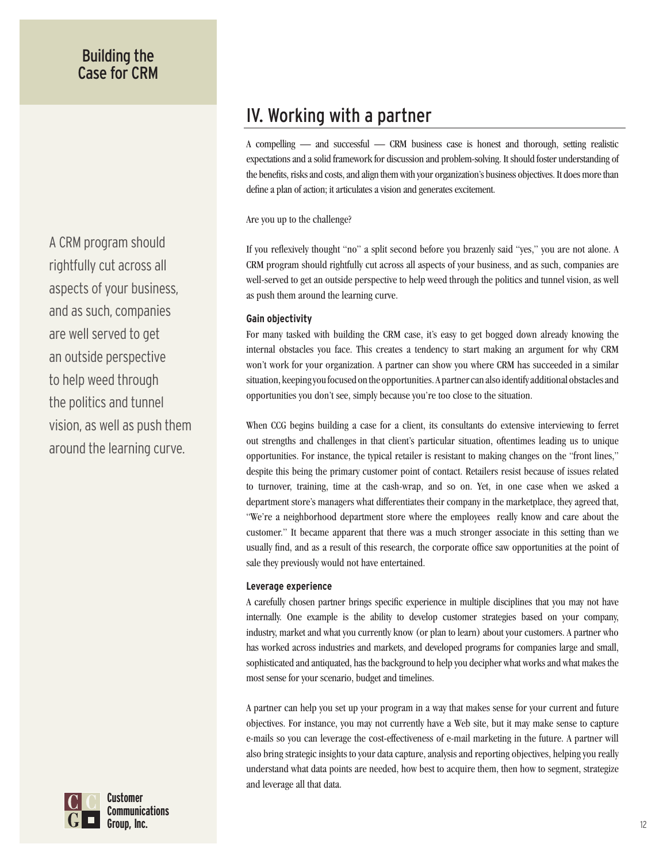A CRM program should rightfully cut across all aspects of your business, and as such, companies are well served to get an outside perspective to help weed through the politics and tunnel vision, as well as push them around the learning curve.



A compelling — and successful — CRM business case is honest and thorough, setting realistic expectations and a solid framework for discussion and problem-solving. It should foster understanding of the benefits, risks and costs, and align them with your organization's business objectives. It does more than define a plan of action; it articulates a vision and generates excitement.

Are you up to the challenge?

If you reflexively thought "no" a split second before you brazenly said "yes," you are not alone. A CRM program should rightfully cut across all aspects of your business, and as such, companies are well-served to get an outside perspective to help weed through the politics and tunnel vision, as well as push them around the learning curve.

#### **Gain objectivity**

For many tasked with building the CRM case, it's easy to get bogged down already knowing the internal obstacles you face. This creates a tendency to start making an argument for why CRM won't work for your organization. A partner can show you where CRM has succeeded in a similar situation, keeping you focused on the opportunities. A partner can also identify additional obstacles and opportunities you don't see, simply because you're too close to the situation.

When CCG begins building a case for a client, its consultants do extensive interviewing to ferret out strengths and challenges in that client's particular situation, oftentimes leading us to unique opportunities. For instance, the typical retailer is resistant to making changes on the "front lines," despite this being the primary customer point of contact. Retailers resist because of issues related to turnover, training, time at the cash-wrap, and so on. Yet, in one case when we asked a department store's managers what differentiates their company in the marketplace, they agreed that, "We're a neighborhood department store where the employees really know and care about the customer." It became apparent that there was a much stronger associate in this setting than we usually find, and as a result of this research, the corporate office saw opportunities at the point of sale they previously would not have entertained.

#### **Leverage experience**

A carefully chosen partner brings specific experience in multiple disciplines that you may not have internally. One example is the ability to develop customer strategies based on your company, industry, market and what you currently know (or plan to learn) about your customers. A partner who has worked across industries and markets, and developed programs for companies large and small, sophisticated and antiquated, has the background to help you decipher what works and what makes the most sense for your scenario, budget and timelines.

A partner can help you set up your program in a way that makes sense for your current and future objectives. For instance, you may not currently have a Web site, but it may make sense to capture e-mails so you can leverage the cost-effectiveness of e-mail marketing in the future. A partner will also bring strategic insights to your data capture, analysis and reporting objectives, helping you really understand what data points are needed, how best to acquire them, then how to segment, strategize and leverage all that data.

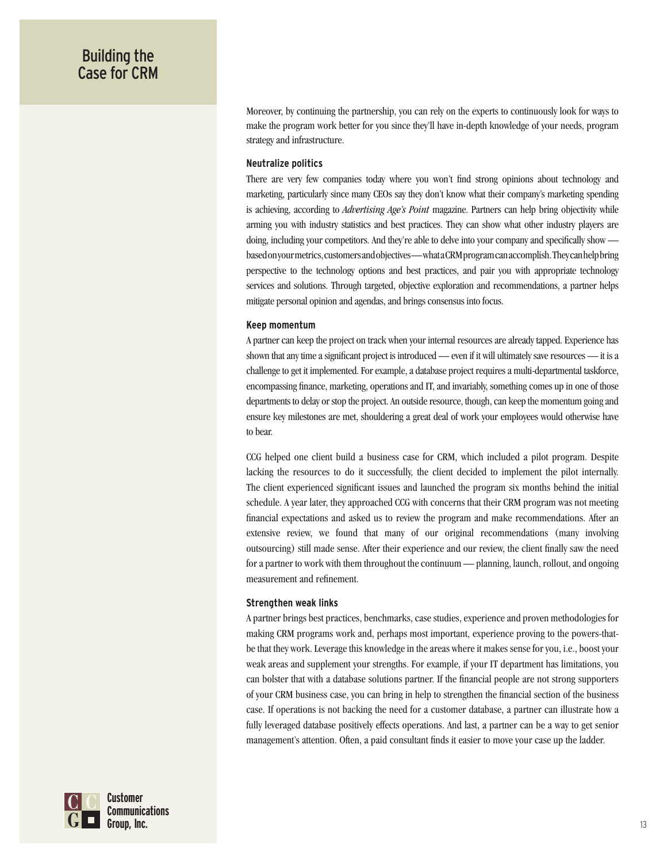Moreover, by continuing the partnership, you can rely on the experts to continuously look for ways to make the program work better for you since they'll have in-depth knowledge of your needs, program strategy and infrastructure.

#### **Neutralize politics**

There are very few companies today where you won't find strong opinions about technology and marketing, particularly since many CEOs say they don't know what their company's marketing spending is achieving, according to *Advertising Age's Point* magazine. Partners can help bring objectivity while arming you with industry statistics and best practices. They can show what other industry players are doing, including your competitors. And they're able to delve into your company and specifically show based on your metrics, customers and objectives — what a CRM program can accomplish. They can help bring perspective to the technology options and best practices, and pair you with appropriate technology services and solutions. Through targeted, objective exploration and recommendations, a partner helps mitigate personal opinion and agendas, and brings consensus into focus.

#### **Keep momentum**

A partner can keep the project on track when your internal resources are already tapped. Experience has shown that any time a significant project is introduced — even if it will ultimately save resources — it is a challenge to get it implemented. For example, a database project requires a multi-departmental taskforce, encompassing finance, marketing, operations and IT, and invariably, something comes up in one of those departments to delay or stop the project. An outside resource, though, can keep the momentum going and ensure key milestones are met, shouldering a great deal of work your employees would otherwise have to bear.

CCG helped one client build a business case for CRM, which included a pilot program. Despite lacking the resources to do it successfully, the client decided to implement the pilot internally. The client experienced significant issues and launched the program six months behind the initial schedule. A year later, they approached CCG with concerns that their CRM program was not meeting financial expectations and asked us to review the program and make recommendations. After an extensive review, we found that many of our original recommendations (many involving outsourcing) still made sense. After their experience and our review, the client finally saw the need for a partner to work with them throughout the continuum — planning, launch, rollout, and ongoing measurement and refinement.

#### **Strengthen weak links**

A partner brings best practices, benchmarks, case studies, experience and proven methodologies for making CRM programs work and, perhaps most important, experience proving to the powers-thatbe that they work. Leverage this knowledge in the areas where it makes sense for you, i.e., boost your weak areas and supplement your strengths. For example, if your IT department has limitations, you can bolster that with a database solutions partner. If the financial people are not strong supporters of your CRM business case, you can bring in help to strengthen the financial section of the business case. If operations is not backing the need for a customer database, a partner can illustrate how a fully leveraged database positively effects operations. And last, a partner can be a way to get senior management's attention. Often, a paid consultant finds it easier to move your case up the ladder.

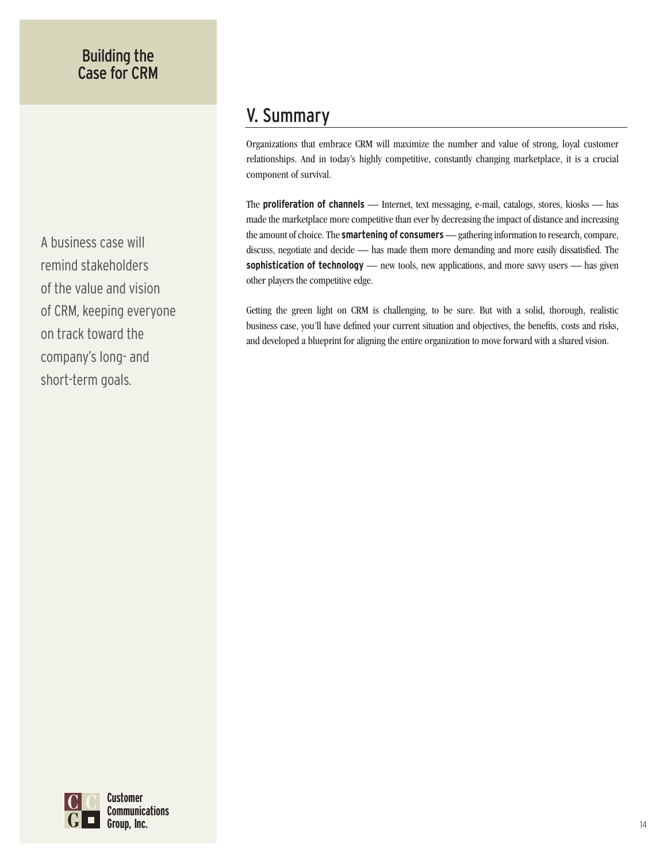A business case will remind stakeholders of the value and vision of CRM, keeping everyone on track toward the company's long- and short-term goals.

## V. Summary

Organizations that embrace CRM will maximize the number and value of strong, loyal customer relationships. And in today's highly competitive, constantly changing marketplace, it is a crucial component of survival.

The **proliferation of channels** — Internet, text messaging, e-mail, catalogs, stores, kiosks — has made the marketplace more competitive than ever by decreasing the impact of distance and increasing the amount of choice. The **smartening of consumers** — gathering information to research, compare, discuss, negotiate and decide — has made them more demanding and more easily dissatisfied. The sophistication of technology — new tools, new applications, and more savvy users — has given other players the competitive edge.

Getting the green light on CRM is challenging, to be sure. But with a solid, thorough, realistic business case, you'll have defined your current situation and objectives, the benefits, costs and risks, and developed a blueprint for aligning the entire organization to move forward with a shared vision.